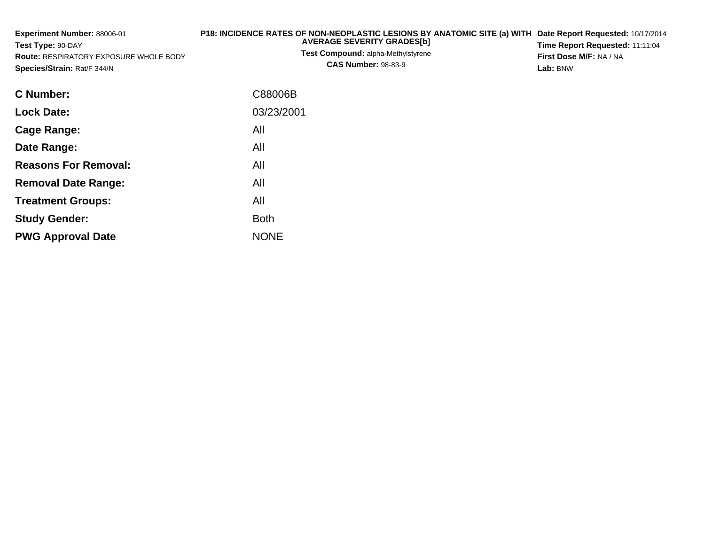| <b>Experiment Number: 88006-01</b><br>Test Type: 90-DAY<br><b>Route: RESPIRATORY EXPOSURE WHOLE BODY</b><br>Species/Strain: Rat/F 344/N | P18: INCIDENCE RATES OF NON-NEOPLASTIC LESIONS BY ANATOMIC SITE (a) WITH<br><b>AVERAGE SEVERITY GRADES[b]</b><br><b>Test Compound: alpha-Methylstyrene</b><br><b>CAS Number: 98-83-9</b> | Date Report Requested: 10/17/2014<br>Time Report Requested: 11:11:04<br>First Dose M/F: NA / NA<br>Lab: BNW |  |  |
|-----------------------------------------------------------------------------------------------------------------------------------------|------------------------------------------------------------------------------------------------------------------------------------------------------------------------------------------|-------------------------------------------------------------------------------------------------------------|--|--|
| <b>C</b> Number:                                                                                                                        | C88006B                                                                                                                                                                                  |                                                                                                             |  |  |
| <b>Lock Date:</b>                                                                                                                       | 03/23/2001                                                                                                                                                                               |                                                                                                             |  |  |
| <b>Cage Range:</b>                                                                                                                      | All                                                                                                                                                                                      |                                                                                                             |  |  |
| Date Range:                                                                                                                             | All                                                                                                                                                                                      |                                                                                                             |  |  |
| <b>Reasons For Removal:</b>                                                                                                             | All                                                                                                                                                                                      |                                                                                                             |  |  |
| <b>Removal Date Range:</b>                                                                                                              | All                                                                                                                                                                                      |                                                                                                             |  |  |
| <b>Treatment Groups:</b>                                                                                                                | All                                                                                                                                                                                      |                                                                                                             |  |  |
| <b>Study Gender:</b>                                                                                                                    | <b>Both</b>                                                                                                                                                                              |                                                                                                             |  |  |

e NONE

**PWG Approval Date**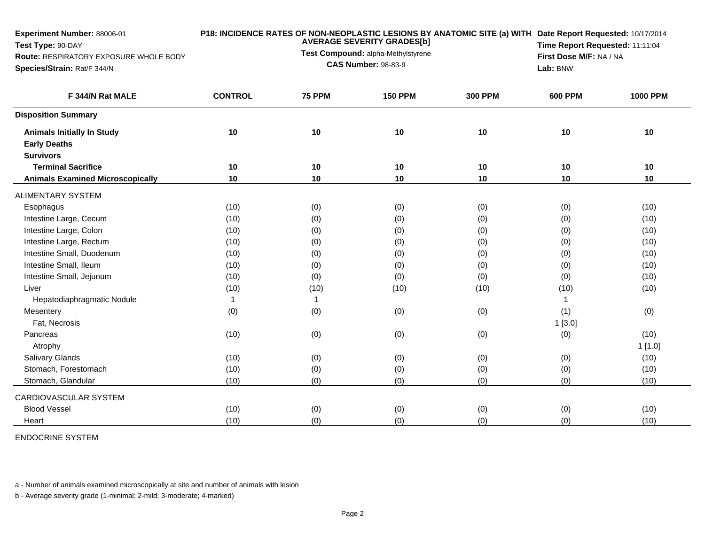| Experiment Number: 88006-01             | P18: INCIDENCE RATES OF NON-NEOPLASTIC LESIONS BY ANATOMIC SITE (a) WITH Date Report Requested: 10/17/2014<br><b>AVERAGE SEVERITY GRADES[b]</b> |               |                                                                  |                |                |                         |  |  |
|-----------------------------------------|-------------------------------------------------------------------------------------------------------------------------------------------------|---------------|------------------------------------------------------------------|----------------|----------------|-------------------------|--|--|
| Test Type: 90-DAY                       |                                                                                                                                                 |               | Time Report Requested: 11:11:04                                  |                |                |                         |  |  |
| Route: RESPIRATORY EXPOSURE WHOLE BODY  |                                                                                                                                                 |               | Test Compound: alpha-Methylstyrene<br><b>CAS Number: 98-83-9</b> |                |                | First Dose M/F: NA / NA |  |  |
| Species/Strain: Rat/F 344/N             |                                                                                                                                                 |               | Lab: BNW                                                         |                |                |                         |  |  |
| F 344/N Rat MALE                        | <b>CONTROL</b>                                                                                                                                  | <b>75 PPM</b> | <b>150 PPM</b>                                                   | <b>300 PPM</b> | <b>600 PPM</b> | <b>1000 PPM</b>         |  |  |
| <b>Disposition Summary</b>              |                                                                                                                                                 |               |                                                                  |                |                |                         |  |  |
| <b>Animals Initially In Study</b>       | 10                                                                                                                                              | 10            | 10                                                               | 10             | 10             | 10                      |  |  |
| <b>Early Deaths</b>                     |                                                                                                                                                 |               |                                                                  |                |                |                         |  |  |
| <b>Survivors</b>                        |                                                                                                                                                 |               |                                                                  |                |                |                         |  |  |
| <b>Terminal Sacrifice</b>               | 10                                                                                                                                              | 10            | 10                                                               | 10             | 10             | 10                      |  |  |
| <b>Animals Examined Microscopically</b> | 10                                                                                                                                              | 10            | 10                                                               | 10             | 10             | 10                      |  |  |
| <b>ALIMENTARY SYSTEM</b>                |                                                                                                                                                 |               |                                                                  |                |                |                         |  |  |
| Esophagus                               | (10)                                                                                                                                            | (0)           | (0)                                                              | (0)            | (0)            | (10)                    |  |  |
| Intestine Large, Cecum                  | (10)                                                                                                                                            | (0)           | (0)                                                              | (0)            | (0)            | (10)                    |  |  |
| Intestine Large, Colon                  | (10)                                                                                                                                            | (0)           | (0)                                                              | (0)            | (0)            | (10)                    |  |  |
| Intestine Large, Rectum                 | (10)                                                                                                                                            | (0)           | (0)                                                              | (0)            | (0)            | (10)                    |  |  |
| Intestine Small, Duodenum               | (10)                                                                                                                                            | (0)           | (0)                                                              | (0)            | (0)            | (10)                    |  |  |
| Intestine Small, Ileum                  | (10)                                                                                                                                            | (0)           | (0)                                                              | (0)            | (0)            | (10)                    |  |  |
| Intestine Small, Jejunum                | (10)                                                                                                                                            | (0)           | (0)                                                              | (0)            | (0)            | (10)                    |  |  |
| Liver                                   | (10)                                                                                                                                            | (10)          | (10)                                                             | (10)           | (10)           | (10)                    |  |  |
| Hepatodiaphragmatic Nodule              | $\mathbf{1}$                                                                                                                                    | $\mathbf{1}$  |                                                                  |                | $\overline{1}$ |                         |  |  |
| Mesentery                               | (0)                                                                                                                                             | (0)           | (0)                                                              | (0)            | (1)            | (0)                     |  |  |
| Fat, Necrosis                           |                                                                                                                                                 |               |                                                                  |                | 1[3.0]         |                         |  |  |
| Pancreas                                | (10)                                                                                                                                            | (0)           | (0)                                                              | (0)            | (0)            | (10)                    |  |  |
| Atrophy                                 |                                                                                                                                                 |               |                                                                  |                |                | 1[1.0]                  |  |  |
| Salivary Glands                         | (10)                                                                                                                                            | (0)           | (0)                                                              | (0)            | (0)            | (10)                    |  |  |
| Stomach, Forestomach                    | (10)                                                                                                                                            | (0)           | (0)                                                              | (0)            | (0)            | (10)                    |  |  |
| Stomach, Glandular                      | (10)                                                                                                                                            | (0)           | (0)                                                              | (0)            | (0)            | (10)                    |  |  |
| CARDIOVASCULAR SYSTEM                   |                                                                                                                                                 |               |                                                                  |                |                |                         |  |  |
| <b>Blood Vessel</b>                     | (10)                                                                                                                                            | (0)           | (0)                                                              | (0)            | (0)            | (10)                    |  |  |
| Heart                                   | (10)                                                                                                                                            | (0)           | (0)                                                              | (0)            | (0)            | (10)                    |  |  |

## ENDOCRINE SYSTEM

a - Number of animals examined microscopically at site and number of animals with lesion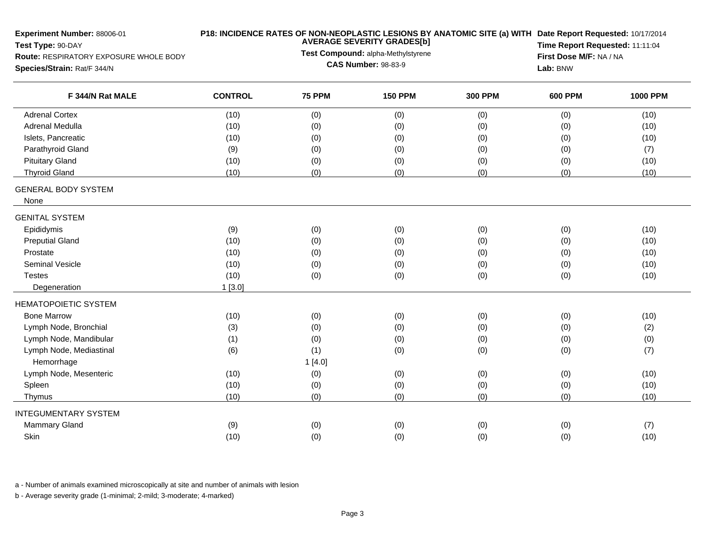| Experiment Number: 88006-01<br>Test Type: 90-DAY<br>Route: RESPIRATORY EXPOSURE WHOLE BODY<br>Species/Strain: Rat/F 344/N |                | P18: INCIDENCE RATES OF NON-NEOPLASTIC LESIONS BY ANATOMIC SITE (a) WITH Date Report Requested: 10/17/2014<br><b>AVERAGE SEVERITY GRADES[b]</b><br>Time Report Requested: 11:11:04<br>Test Compound: alpha-Methylstyrene<br>First Dose M/F: NA / NA<br><b>CAS Number: 98-83-9</b><br>Lab: BNW |                |                |                |                 |
|---------------------------------------------------------------------------------------------------------------------------|----------------|-----------------------------------------------------------------------------------------------------------------------------------------------------------------------------------------------------------------------------------------------------------------------------------------------|----------------|----------------|----------------|-----------------|
| F 344/N Rat MALE                                                                                                          | <b>CONTROL</b> | <b>75 PPM</b>                                                                                                                                                                                                                                                                                 | <b>150 PPM</b> | <b>300 PPM</b> | <b>600 PPM</b> | <b>1000 PPM</b> |
| <b>Adrenal Cortex</b>                                                                                                     | (10)           | (0)                                                                                                                                                                                                                                                                                           | (0)            | (0)            | (0)            | (10)            |
| Adrenal Medulla                                                                                                           | (10)           | (0)                                                                                                                                                                                                                                                                                           | (0)            | (0)            | (0)            | (10)            |
| Islets, Pancreatic                                                                                                        | (10)           | (0)                                                                                                                                                                                                                                                                                           | (0)            | (0)            | (0)            | (10)            |
| Parathyroid Gland                                                                                                         | (9)            | (0)                                                                                                                                                                                                                                                                                           | (0)            | (0)            | (0)            | (7)             |
| <b>Pituitary Gland</b>                                                                                                    | (10)           | (0)                                                                                                                                                                                                                                                                                           | (0)            | (0)            | (0)            | (10)            |
| <b>Thyroid Gland</b>                                                                                                      | (10)           | (0)                                                                                                                                                                                                                                                                                           | (0)            | (0)            | (0)            | (10)            |
| <b>GENERAL BODY SYSTEM</b><br>None                                                                                        |                |                                                                                                                                                                                                                                                                                               |                |                |                |                 |
| <b>GENITAL SYSTEM</b>                                                                                                     |                |                                                                                                                                                                                                                                                                                               |                |                |                |                 |
| Epididymis                                                                                                                | (9)            | (0)                                                                                                                                                                                                                                                                                           | (0)            | (0)            | (0)            | (10)            |
| <b>Preputial Gland</b>                                                                                                    | (10)           | (0)                                                                                                                                                                                                                                                                                           | (0)            | (0)            | (0)            | (10)            |
| Prostate                                                                                                                  | (10)           | (0)                                                                                                                                                                                                                                                                                           | (0)            | (0)            | (0)            | (10)            |
| Seminal Vesicle                                                                                                           | (10)           | (0)                                                                                                                                                                                                                                                                                           | (0)            | (0)            | (0)            | (10)            |
| <b>Testes</b>                                                                                                             | (10)           | (0)                                                                                                                                                                                                                                                                                           | (0)            | (0)            | (0)            | (10)            |
| Degeneration                                                                                                              | 1[3.0]         |                                                                                                                                                                                                                                                                                               |                |                |                |                 |
| <b>HEMATOPOIETIC SYSTEM</b>                                                                                               |                |                                                                                                                                                                                                                                                                                               |                |                |                |                 |
| <b>Bone Marrow</b>                                                                                                        | (10)           | (0)                                                                                                                                                                                                                                                                                           | (0)            | (0)            | (0)            | (10)            |
| Lymph Node, Bronchial                                                                                                     | (3)            | (0)                                                                                                                                                                                                                                                                                           | (0)            | (0)            | (0)            | (2)             |
| Lymph Node, Mandibular                                                                                                    | (1)            | (0)                                                                                                                                                                                                                                                                                           | (0)            | (0)            | (0)            | (0)             |
| Lymph Node, Mediastinal                                                                                                   | (6)            | (1)                                                                                                                                                                                                                                                                                           | (0)            | (0)            | (0)            | (7)             |
| Hemorrhage                                                                                                                |                | 1[4.0]                                                                                                                                                                                                                                                                                        |                |                |                |                 |
| Lymph Node, Mesenteric                                                                                                    | (10)           | (0)                                                                                                                                                                                                                                                                                           | (0)            | (0)            | (0)            | (10)            |
| Spleen                                                                                                                    | (10)           | (0)                                                                                                                                                                                                                                                                                           | (0)            | (0)            | (0)            | (10)            |
| Thymus                                                                                                                    | (10)           | (0)                                                                                                                                                                                                                                                                                           | (0)            | (0)            | (0)            | (10)            |
| <b>INTEGUMENTARY SYSTEM</b>                                                                                               |                |                                                                                                                                                                                                                                                                                               |                |                |                |                 |
| <b>Mammary Gland</b>                                                                                                      | (9)            | (0)                                                                                                                                                                                                                                                                                           | (0)            | (0)            | (0)            | (7)             |
| Skin                                                                                                                      | (10)           | (0)                                                                                                                                                                                                                                                                                           | (0)            | (0)            | (0)            | (10)            |
|                                                                                                                           |                |                                                                                                                                                                                                                                                                                               |                |                |                |                 |

a - Number of animals examined microscopically at site and number of animals with lesion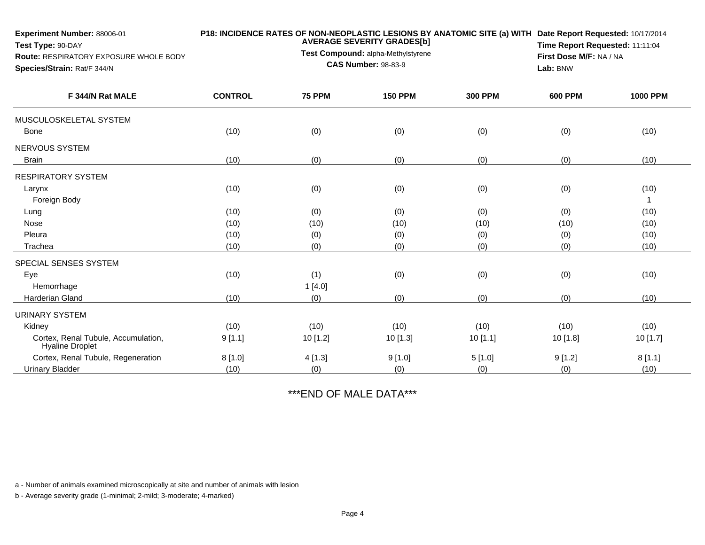| <b>Experiment Number: 88006-01</b><br>Test Type: 90-DAY<br>Route: RESPIRATORY EXPOSURE WHOLE BODY<br>Species/Strain: Rat/F 344/N |                | <b>AVERAGE SEVERITY GRADES[b]</b><br>Test Compound: alpha-Methylstyrene<br><b>CAS Number: 98-83-9</b> | P18: INCIDENCE RATES OF NON-NEOPLASTIC LESIONS BY ANATOMIC SITE (a) WITH Date Report Requested: 10/17/2014<br>Time Report Requested: 11:11:04<br>First Dose M/F: NA / NA<br>Lab: BNW |                |                |                 |
|----------------------------------------------------------------------------------------------------------------------------------|----------------|-------------------------------------------------------------------------------------------------------|--------------------------------------------------------------------------------------------------------------------------------------------------------------------------------------|----------------|----------------|-----------------|
| F 344/N Rat MALE                                                                                                                 | <b>CONTROL</b> | <b>75 PPM</b>                                                                                         | <b>150 PPM</b>                                                                                                                                                                       | <b>300 PPM</b> | <b>600 PPM</b> | <b>1000 PPM</b> |
| MUSCULOSKELETAL SYSTEM                                                                                                           |                |                                                                                                       |                                                                                                                                                                                      |                |                |                 |
| <b>Bone</b>                                                                                                                      | (10)           | (0)                                                                                                   | (0)                                                                                                                                                                                  | (0)            | (0)            | (10)            |
| <b>NERVOUS SYSTEM</b>                                                                                                            |                |                                                                                                       |                                                                                                                                                                                      |                |                |                 |
| <b>Brain</b>                                                                                                                     | (10)           | (0)                                                                                                   | (0)                                                                                                                                                                                  | (0)            | (0)            | (10)            |
| <b>RESPIRATORY SYSTEM</b>                                                                                                        |                |                                                                                                       |                                                                                                                                                                                      |                |                |                 |
| Larynx                                                                                                                           | (10)           | (0)                                                                                                   | (0)                                                                                                                                                                                  | (0)            | (0)            | (10)            |
| Foreign Body                                                                                                                     |                |                                                                                                       |                                                                                                                                                                                      |                |                | $\mathbf 1$     |
| Lung                                                                                                                             | (10)           | (0)                                                                                                   | (0)                                                                                                                                                                                  | (0)            | (0)            | (10)            |
| Nose                                                                                                                             | (10)           | (10)                                                                                                  | (10)                                                                                                                                                                                 | (10)           | (10)           | (10)            |
| Pleura                                                                                                                           | (10)           | (0)                                                                                                   | (0)                                                                                                                                                                                  | (0)            | (0)            | (10)            |
| Trachea                                                                                                                          | (10)           | (0)                                                                                                   | (0)                                                                                                                                                                                  | (0)            | (0)            | (10)            |
| SPECIAL SENSES SYSTEM                                                                                                            |                |                                                                                                       |                                                                                                                                                                                      |                |                |                 |
| Eye                                                                                                                              | (10)           | (1)                                                                                                   | (0)                                                                                                                                                                                  | (0)            | (0)            | (10)            |
| Hemorrhage                                                                                                                       |                | 1[4.0]                                                                                                |                                                                                                                                                                                      |                |                |                 |
| Harderian Gland                                                                                                                  | (10)           | (0)                                                                                                   | (0)                                                                                                                                                                                  | (0)            | (0)            | (10)            |
| <b>URINARY SYSTEM</b>                                                                                                            |                |                                                                                                       |                                                                                                                                                                                      |                |                |                 |
| Kidney                                                                                                                           | (10)           | (10)                                                                                                  | (10)                                                                                                                                                                                 | (10)           | (10)           | (10)            |
| Cortex, Renal Tubule, Accumulation,<br><b>Hyaline Droplet</b>                                                                    | 9[1.1]         | 10 [1.2]                                                                                              | 10 [1.3]                                                                                                                                                                             | 10[1.1]        | 10 [1.8]       | 10 [1.7]        |
| Cortex, Renal Tubule, Regeneration                                                                                               | 8[1.0]         | 4[1.3]                                                                                                | 9[1.0]                                                                                                                                                                               | 5[1.0]         | 9[1.2]         | 8[1.1]          |
| <b>Urinary Bladder</b>                                                                                                           | (10)           | (0)                                                                                                   | (0)                                                                                                                                                                                  | (0)            | (0)            | (10)            |

\*\*\*END OF MALE DATA\*\*\*

a - Number of animals examined microscopically at site and number of animals with lesion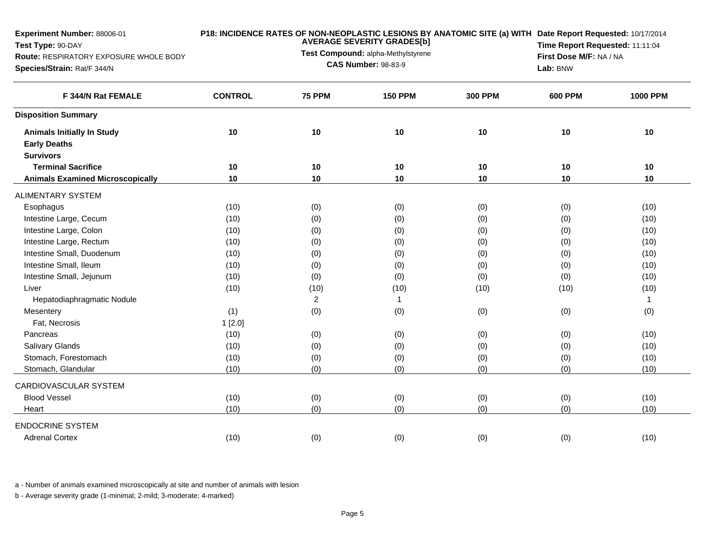| Experiment Number: 88006-01             |                |               | <b>AVERAGE SEVERITY GRADES[b]</b>  | P18: INCIDENCE RATES OF NON-NEOPLASTIC LESIONS BY ANATOMIC SITE (a) WITH Date Report Requested: 10/17/2014 |                                 |                 |  |  |
|-----------------------------------------|----------------|---------------|------------------------------------|------------------------------------------------------------------------------------------------------------|---------------------------------|-----------------|--|--|
| Test Type: 90-DAY                       |                |               | Test Compound: alpha-Methylstyrene |                                                                                                            | Time Report Requested: 11:11:04 |                 |  |  |
| Route: RESPIRATORY EXPOSURE WHOLE BODY  |                |               | <b>CAS Number: 98-83-9</b>         |                                                                                                            | First Dose M/F: NA / NA         |                 |  |  |
| Species/Strain: Rat/F 344/N             |                |               |                                    |                                                                                                            | Lab: BNW                        |                 |  |  |
| F 344/N Rat FEMALE                      | <b>CONTROL</b> | <b>75 PPM</b> | <b>150 PPM</b>                     | <b>300 PPM</b>                                                                                             | <b>600 PPM</b>                  | <b>1000 PPM</b> |  |  |
| <b>Disposition Summary</b>              |                |               |                                    |                                                                                                            |                                 |                 |  |  |
| <b>Animals Initially In Study</b>       | 10             | 10            | 10                                 | 10                                                                                                         | 10                              | 10              |  |  |
| <b>Early Deaths</b>                     |                |               |                                    |                                                                                                            |                                 |                 |  |  |
| <b>Survivors</b>                        |                |               |                                    |                                                                                                            |                                 |                 |  |  |
| <b>Terminal Sacrifice</b>               | 10             | 10            | 10                                 | 10                                                                                                         | 10                              | 10              |  |  |
| <b>Animals Examined Microscopically</b> | 10             | 10            | 10                                 | 10                                                                                                         | 10                              | 10              |  |  |
| <b>ALIMENTARY SYSTEM</b>                |                |               |                                    |                                                                                                            |                                 |                 |  |  |
| Esophagus                               | (10)           | (0)           | (0)                                | (0)                                                                                                        | (0)                             | (10)            |  |  |
| Intestine Large, Cecum                  | (10)           | (0)           | (0)                                | (0)                                                                                                        | (0)                             | (10)            |  |  |
| Intestine Large, Colon                  | (10)           | (0)           | (0)                                | (0)                                                                                                        | (0)                             | (10)            |  |  |
| Intestine Large, Rectum                 | (10)           | (0)           | (0)                                | (0)                                                                                                        | (0)                             | (10)            |  |  |
| Intestine Small, Duodenum               | (10)           | (0)           | (0)                                | (0)                                                                                                        | (0)                             | (10)            |  |  |
| Intestine Small, Ileum                  | (10)           | (0)           | (0)                                | (0)                                                                                                        | (0)                             | (10)            |  |  |
| Intestine Small, Jejunum                | (10)           | (0)           | (0)                                | (0)                                                                                                        | (0)                             | (10)            |  |  |
| Liver                                   | (10)           | (10)          | (10)                               | (10)                                                                                                       | (10)                            | (10)            |  |  |
| Hepatodiaphragmatic Nodule              |                | 2             | $\mathbf{1}$                       |                                                                                                            |                                 | $\mathbf{1}$    |  |  |
| Mesentery                               | (1)            | (0)           | (0)                                | (0)                                                                                                        | (0)                             | (0)             |  |  |
| Fat, Necrosis                           | 1[2.0]         |               |                                    |                                                                                                            |                                 |                 |  |  |
| Pancreas                                | (10)           | (0)           | (0)                                | (0)                                                                                                        | (0)                             | (10)            |  |  |
| <b>Salivary Glands</b>                  | (10)           | (0)           | (0)                                | (0)                                                                                                        | (0)                             | (10)            |  |  |
| Stomach, Forestomach                    | (10)           | (0)           | (0)                                | (0)                                                                                                        | (0)                             | (10)            |  |  |
| Stomach, Glandular                      | (10)           | (0)           | (0)                                | (0)                                                                                                        | (0)                             | (10)            |  |  |
| CARDIOVASCULAR SYSTEM                   |                |               |                                    |                                                                                                            |                                 |                 |  |  |
| <b>Blood Vessel</b>                     | (10)           | (0)           | (0)                                | (0)                                                                                                        | (0)                             | (10)            |  |  |
| Heart                                   | (10)           | (0)           | (0)                                | (0)                                                                                                        | (0)                             | (10)            |  |  |
| <b>ENDOCRINE SYSTEM</b>                 |                |               |                                    |                                                                                                            |                                 |                 |  |  |
| <b>Adrenal Cortex</b>                   | (10)           | (0)           | (0)                                | (0)                                                                                                        | (0)                             | (10)            |  |  |

a - Number of animals examined microscopically at site and number of animals with lesion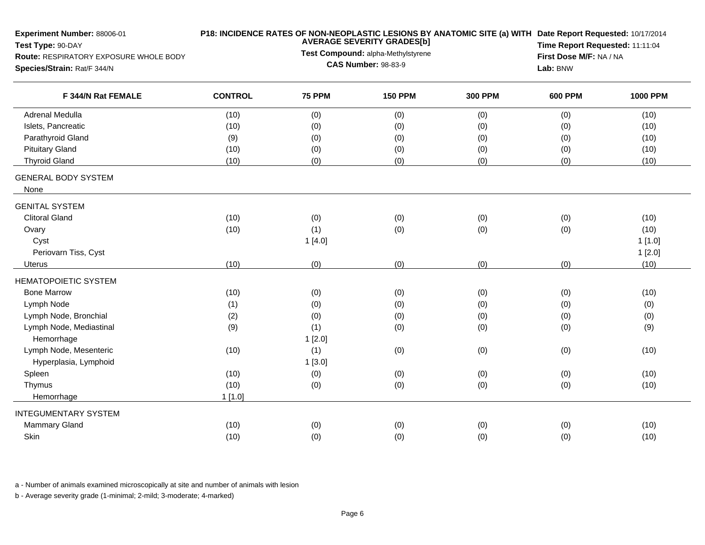| Experiment Number: 88006-01<br>Test Type: 90-DAY<br>Route: RESPIRATORY EXPOSURE WHOLE BODY |                |                            | <b>AVERAGE SEVERITY GRADES[b]</b><br>Test Compound: alpha-Methylstyrene |                | P18: INCIDENCE RATES OF NON-NEOPLASTIC LESIONS BY ANATOMIC SITE (a) WITH Date Report Requested: 10/17/2014<br>Time Report Requested: 11:11:04<br>First Dose M/F: NA / NA |                 |  |  |  |
|--------------------------------------------------------------------------------------------|----------------|----------------------------|-------------------------------------------------------------------------|----------------|--------------------------------------------------------------------------------------------------------------------------------------------------------------------------|-----------------|--|--|--|
| Species/Strain: Rat/F 344/N                                                                |                | <b>CAS Number: 98-83-9</b> | Lab: BNW                                                                |                |                                                                                                                                                                          |                 |  |  |  |
| F 344/N Rat FEMALE                                                                         | <b>CONTROL</b> | <b>75 PPM</b>              | <b>150 PPM</b>                                                          | <b>300 PPM</b> | <b>600 PPM</b>                                                                                                                                                           | <b>1000 PPM</b> |  |  |  |
| Adrenal Medulla                                                                            | (10)           | (0)                        | (0)                                                                     | (0)            | (0)                                                                                                                                                                      | (10)            |  |  |  |
| Islets, Pancreatic                                                                         | (10)           | (0)                        | (0)                                                                     | (0)            | (0)                                                                                                                                                                      | (10)            |  |  |  |
| Parathyroid Gland                                                                          | (9)            | (0)                        | (0)                                                                     | (0)            | (0)                                                                                                                                                                      | (10)            |  |  |  |
| <b>Pituitary Gland</b>                                                                     | (10)           | (0)                        | (0)                                                                     | (0)            | (0)                                                                                                                                                                      | (10)            |  |  |  |
| <b>Thyroid Gland</b>                                                                       | (10)           | (0)                        | (0)                                                                     | (0)            | (0)                                                                                                                                                                      | (10)            |  |  |  |
| <b>GENERAL BODY SYSTEM</b><br>None                                                         |                |                            |                                                                         |                |                                                                                                                                                                          |                 |  |  |  |
| <b>GENITAL SYSTEM</b>                                                                      |                |                            |                                                                         |                |                                                                                                                                                                          |                 |  |  |  |
| <b>Clitoral Gland</b>                                                                      | (10)           | (0)                        | (0)                                                                     | (0)            | (0)                                                                                                                                                                      | (10)            |  |  |  |
| Ovary                                                                                      | (10)           | (1)                        | (0)                                                                     | (0)            | (0)                                                                                                                                                                      | (10)            |  |  |  |
| Cyst                                                                                       |                | 1[4.0]                     |                                                                         |                |                                                                                                                                                                          | 1[1.0]          |  |  |  |
| Periovarn Tiss, Cyst                                                                       |                |                            |                                                                         |                |                                                                                                                                                                          | 1[2.0]          |  |  |  |
| Uterus                                                                                     | (10)           | (0)                        | (0)                                                                     | (0)            | (0)                                                                                                                                                                      | (10)            |  |  |  |
| <b>HEMATOPOIETIC SYSTEM</b>                                                                |                |                            |                                                                         |                |                                                                                                                                                                          |                 |  |  |  |
| <b>Bone Marrow</b>                                                                         | (10)           | (0)                        | (0)                                                                     | (0)            | (0)                                                                                                                                                                      | (10)            |  |  |  |
| Lymph Node                                                                                 | (1)            | (0)                        | (0)                                                                     | (0)            | (0)                                                                                                                                                                      | (0)             |  |  |  |
| Lymph Node, Bronchial                                                                      | (2)            | (0)                        | (0)                                                                     | (0)            | (0)                                                                                                                                                                      | (0)             |  |  |  |
| Lymph Node, Mediastinal                                                                    | (9)            | (1)                        | (0)                                                                     | (0)            | (0)                                                                                                                                                                      | (9)             |  |  |  |
| Hemorrhage                                                                                 |                | 1[2.0]                     |                                                                         |                |                                                                                                                                                                          |                 |  |  |  |
| Lymph Node, Mesenteric                                                                     | (10)           | (1)                        | (0)                                                                     | (0)            | (0)                                                                                                                                                                      | (10)            |  |  |  |
| Hyperplasia, Lymphoid                                                                      |                | 1[3.0]                     |                                                                         |                |                                                                                                                                                                          |                 |  |  |  |
| Spleen                                                                                     | (10)           | (0)                        | (0)                                                                     | (0)            | (0)                                                                                                                                                                      | (10)            |  |  |  |
| Thymus                                                                                     | (10)           | (0)                        | (0)                                                                     | (0)            | (0)                                                                                                                                                                      | (10)            |  |  |  |
| Hemorrhage                                                                                 | 1[1.0]         |                            |                                                                         |                |                                                                                                                                                                          |                 |  |  |  |
| <b>INTEGUMENTARY SYSTEM</b>                                                                |                |                            |                                                                         |                |                                                                                                                                                                          |                 |  |  |  |
| <b>Mammary Gland</b>                                                                       | (10)           | (0)                        | (0)                                                                     | (0)            | (0)                                                                                                                                                                      | (10)            |  |  |  |
| Skin                                                                                       | (10)           | (0)                        | (0)                                                                     | (0)            | (0)                                                                                                                                                                      | (10)            |  |  |  |

a - Number of animals examined microscopically at site and number of animals with lesion